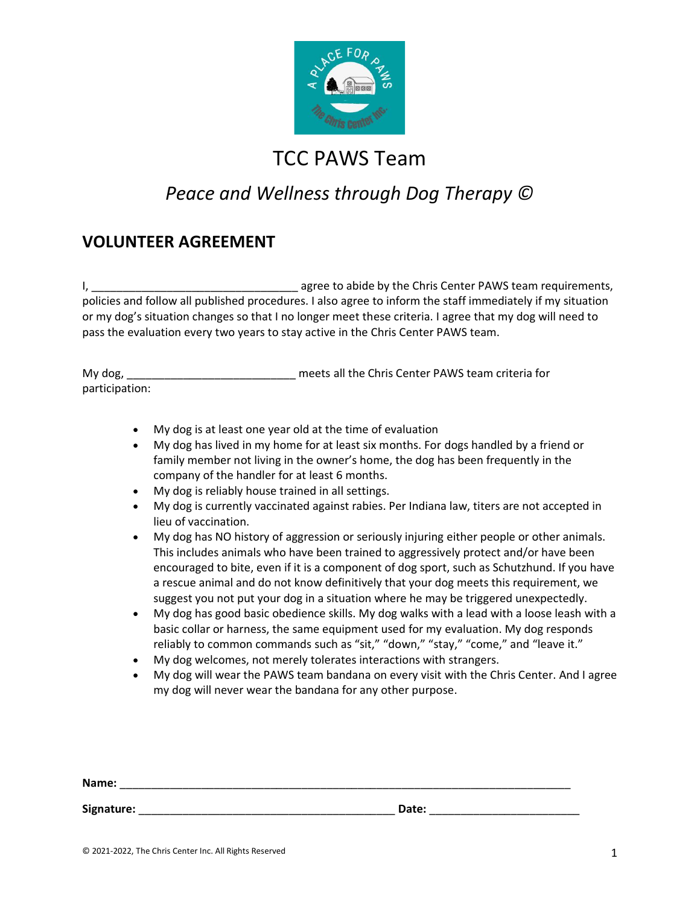

## *Peace and Wellness through Dog Therapy ©*

#### **VOLUNTEER AGREEMENT**

I, the christ center PAWS team requirements, policies and follow all published procedures. I also agree to inform the staff immediately if my situation or my dog's situation changes so that I no longer meet these criteria. I agree that my dog will need to pass the evaluation every two years to stay active in the Chris Center PAWS team.

| My dog,        | meets all the Chris Center PAWS team criteria for |
|----------------|---------------------------------------------------|
| participation: |                                                   |

- My dog is at least one year old at the time of evaluation
- My dog has lived in my home for at least six months. For dogs handled by a friend or family member not living in the owner's home, the dog has been frequently in the company of the handler for at least 6 months.
- My dog is reliably house trained in all settings.
- My dog is currently vaccinated against rabies. Per Indiana law, titers are not accepted in lieu of vaccination.
- My dog has NO history of aggression or seriously injuring either people or other animals. This includes animals who have been trained to aggressively protect and/or have been encouraged to bite, even if it is a component of dog sport, such as Schutzhund. If you have a rescue animal and do not know definitively that your dog meets this requirement, we suggest you not put your dog in a situation where he may be triggered unexpectedly.
- My dog has good basic obedience skills. My dog walks with a lead with a loose leash with a basic collar or harness, the same equipment used for my evaluation. My dog responds reliably to common commands such as "sit," "down," "stay," "come," and "leave it."
- My dog welcomes, not merely tolerates interactions with strangers.
- My dog will wear the PAWS team bandana on every visit with the Chris Center. And I agree my dog will never wear the bandana for any other purpose.

| Name:      |       |  |
|------------|-------|--|
| Signature: | Date: |  |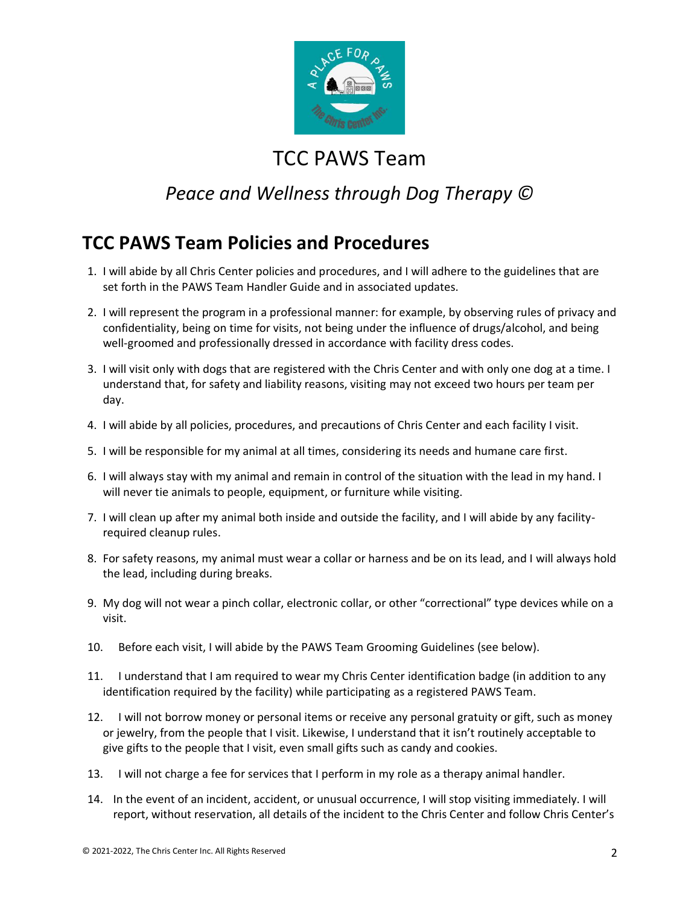

## *Peace and Wellness through Dog Therapy ©*

#### **TCC PAWS Team Policies and Procedures**

- 1. I will abide by all Chris Center policies and procedures, and I will adhere to the guidelines that are set forth in the PAWS Team Handler Guide and in associated updates.
- 2. I will represent the program in a professional manner: for example, by observing rules of privacy and confidentiality, being on time for visits, not being under the influence of drugs/alcohol, and being well-groomed and professionally dressed in accordance with facility dress codes.
- 3. I will visit only with dogs that are registered with the Chris Center and with only one dog at a time. I understand that, for safety and liability reasons, visiting may not exceed two hours per team per day.
- 4. I will abide by all policies, procedures, and precautions of Chris Center and each facility I visit.
- 5. I will be responsible for my animal at all times, considering its needs and humane care first.
- 6. I will always stay with my animal and remain in control of the situation with the lead in my hand. I will never tie animals to people, equipment, or furniture while visiting.
- 7. I will clean up after my animal both inside and outside the facility, and I will abide by any facilityrequired cleanup rules.
- 8. For safety reasons, my animal must wear a collar or harness and be on its lead, and I will always hold the lead, including during breaks.
- 9. My dog will not wear a pinch collar, electronic collar, or other "correctional" type devices while on a visit.
- 10. Before each visit, I will abide by the PAWS Team Grooming Guidelines (see below).
- 11. I understand that I am required to wear my Chris Center identification badge (in addition to any identification required by the facility) while participating as a registered PAWS Team.
- 12. I will not borrow money or personal items or receive any personal gratuity or gift, such as money or jewelry, from the people that I visit. Likewise, I understand that it isn't routinely acceptable to give gifts to the people that I visit, even small gifts such as candy and cookies.
- 13. I will not charge a fee for services that I perform in my role as a therapy animal handler.
- 14. In the event of an incident, accident, or unusual occurrence, I will stop visiting immediately. I will report, without reservation, all details of the incident to the Chris Center and follow Chris Center's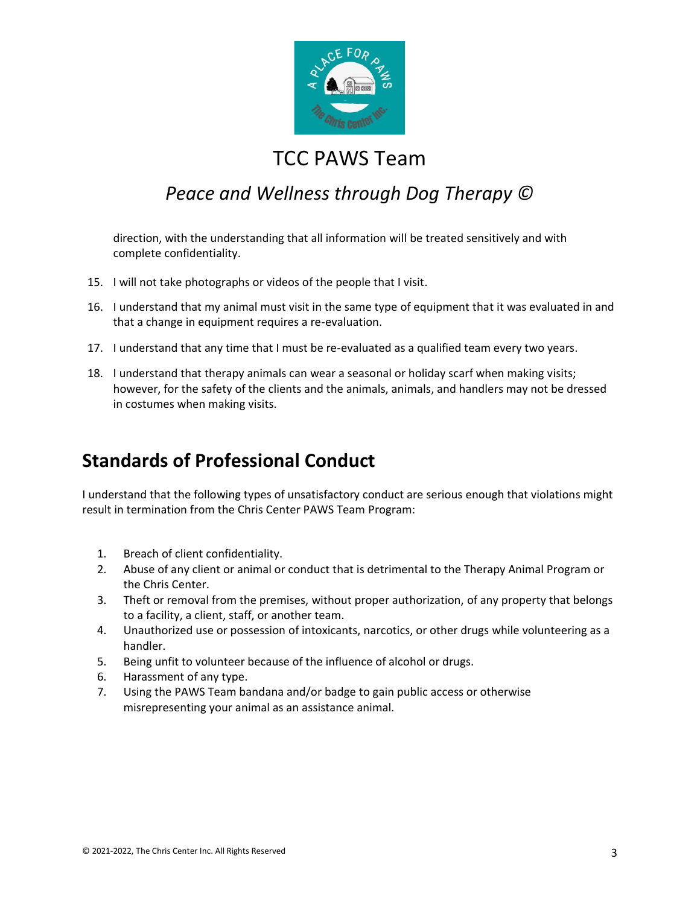

#### *Peace and Wellness through Dog Therapy ©*

direction, with the understanding that all information will be treated sensitively and with complete confidentiality.

- 15. I will not take photographs or videos of the people that I visit.
- 16. I understand that my animal must visit in the same type of equipment that it was evaluated in and that a change in equipment requires a re-evaluation.
- 17. I understand that any time that I must be re-evaluated as a qualified team every two years.
- 18. I understand that therapy animals can wear a seasonal or holiday scarf when making visits; however, for the safety of the clients and the animals, animals, and handlers may not be dressed in costumes when making visits.

#### **Standards of Professional Conduct**

I understand that the following types of unsatisfactory conduct are serious enough that violations might result in termination from the Chris Center PAWS Team Program:

- 1. Breach of client confidentiality.
- 2. Abuse of any client or animal or conduct that is detrimental to the Therapy Animal Program or the Chris Center.
- 3. Theft or removal from the premises, without proper authorization, of any property that belongs to a facility, a client, staff, or another team.
- 4. Unauthorized use or possession of intoxicants, narcotics, or other drugs while volunteering as a handler.
- 5. Being unfit to volunteer because of the influence of alcohol or drugs.
- 6. Harassment of any type.
- 7. Using the PAWS Team bandana and/or badge to gain public access or otherwise misrepresenting your animal as an assistance animal.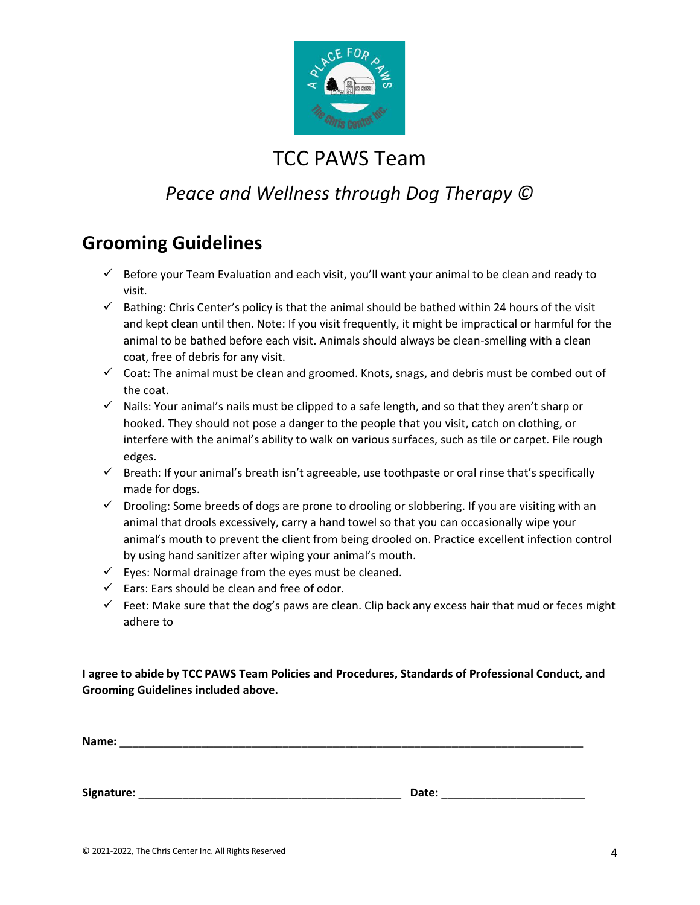

## *Peace and Wellness through Dog Therapy ©*

#### **Grooming Guidelines**

- $\checkmark$  Before your Team Evaluation and each visit, you'll want your animal to be clean and ready to visit.
- $\checkmark$  Bathing: Chris Center's policy is that the animal should be bathed within 24 hours of the visit and kept clean until then. Note: If you visit frequently, it might be impractical or harmful for the animal to be bathed before each visit. Animals should always be clean-smelling with a clean coat, free of debris for any visit.
- $\checkmark$  Coat: The animal must be clean and groomed. Knots, snags, and debris must be combed out of the coat.
- $\checkmark$  Nails: Your animal's nails must be clipped to a safe length, and so that they aren't sharp or hooked. They should not pose a danger to the people that you visit, catch on clothing, or interfere with the animal's ability to walk on various surfaces, such as tile or carpet. File rough edges.
- $\checkmark$  Breath: If your animal's breath isn't agreeable, use toothpaste or oral rinse that's specifically made for dogs.
- ✓ Drooling: Some breeds of dogs are prone to drooling or slobbering. If you are visiting with an animal that drools excessively, carry a hand towel so that you can occasionally wipe your animal's mouth to prevent the client from being drooled on. Practice excellent infection control by using hand sanitizer after wiping your animal's mouth.
- $\checkmark$  Eyes: Normal drainage from the eyes must be cleaned.
- $\checkmark$  Ears: Ears should be clean and free of odor.
- $\checkmark$  Feet: Make sure that the dog's paws are clean. Clip back any excess hair that mud or feces might adhere to

**I agree to abide by TCC PAWS Team Policies and Procedures, Standards of Professional Conduct, and Grooming Guidelines included above.**

| Name:      |       |  |
|------------|-------|--|
|            |       |  |
|            |       |  |
| Signature: | Date: |  |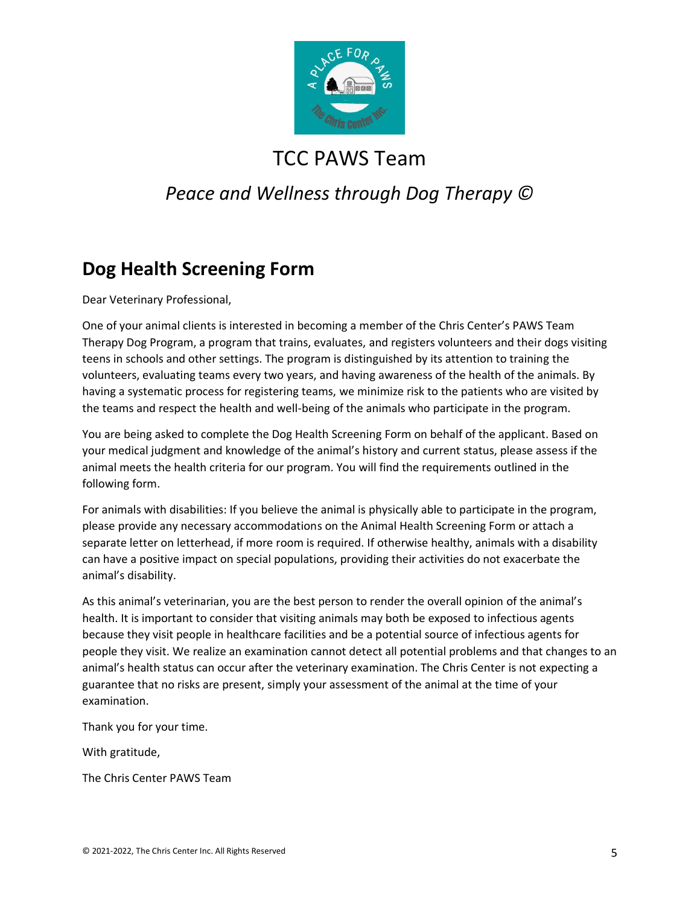

## *Peace and Wellness through Dog Therapy ©*

## **Dog Health Screening Form**

Dear Veterinary Professional,

One of your animal clients is interested in becoming a member of the Chris Center's PAWS Team Therapy Dog Program, a program that trains, evaluates, and registers volunteers and their dogs visiting teens in schools and other settings. The program is distinguished by its attention to training the volunteers, evaluating teams every two years, and having awareness of the health of the animals. By having a systematic process for registering teams, we minimize risk to the patients who are visited by the teams and respect the health and well-being of the animals who participate in the program.

You are being asked to complete the Dog Health Screening Form on behalf of the applicant. Based on your medical judgment and knowledge of the animal's history and current status, please assess if the animal meets the health criteria for our program. You will find the requirements outlined in the following form.

For animals with disabilities: If you believe the animal is physically able to participate in the program, please provide any necessary accommodations on the Animal Health Screening Form or attach a separate letter on letterhead, if more room is required. If otherwise healthy, animals with a disability can have a positive impact on special populations, providing their activities do not exacerbate the animal's disability.

As this animal's veterinarian, you are the best person to render the overall opinion of the animal's health. It is important to consider that visiting animals may both be exposed to infectious agents because they visit people in healthcare facilities and be a potential source of infectious agents for people they visit. We realize an examination cannot detect all potential problems and that changes to an animal's health status can occur after the veterinary examination. The Chris Center is not expecting a guarantee that no risks are present, simply your assessment of the animal at the time of your examination.

Thank you for your time.

With gratitude,

The Chris Center PAWS Team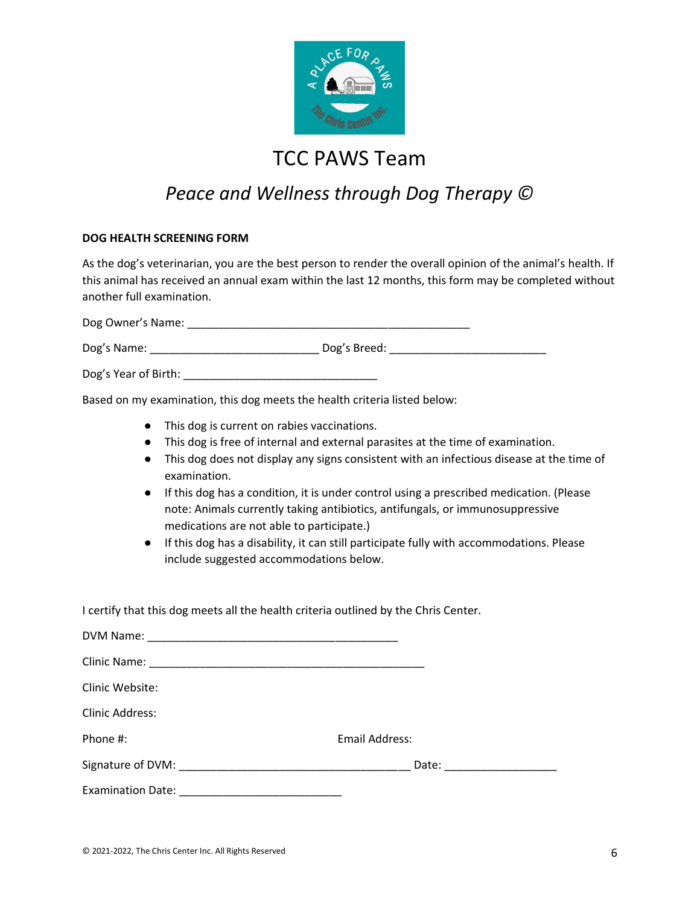

## *Peace and Wellness through Dog Therapy ©*

#### **DOG HEALTH SCREENING FORM**

As the dog's veterinarian, you are the best person to render the overall opinion of the animal's health. If this animal has received an annual exam within the last 12 months, this form may be completed without another full examination.

Dog Owner's Name: \_\_\_\_\_\_\_\_\_\_\_\_\_\_\_\_\_\_\_\_\_\_\_\_\_\_\_\_\_\_\_\_\_\_\_\_\_\_\_\_\_\_\_\_\_

Dog's Name: \_\_\_\_\_\_\_\_\_\_\_\_\_\_\_\_\_\_\_\_\_\_\_\_\_\_\_ Dog's Breed: \_\_\_\_\_\_\_\_\_\_\_\_\_\_\_\_\_\_\_\_\_\_\_\_\_

Dog's Year of Birth: \_\_\_\_\_\_\_\_\_\_\_\_\_\_\_\_\_\_\_\_\_\_\_\_\_\_\_\_\_\_\_

Based on my examination, this dog meets the health criteria listed below:

I certify that this dog meets all the health criteria outlined by the Chris Center.

- This dog is current on rabies vaccinations.
- This dog is free of internal and external parasites at the time of examination.
- This dog does not display any signs consistent with an infectious disease at the time of examination.
- If this dog has a condition, it is under control using a prescribed medication. (Please note: Animals currently taking antibiotics, antifungals, or immunosuppressive medications are not able to participate.)
- If this dog has a disability, it can still participate fully with accommodations. Please include suggested accommodations below.

| Clinic Website:        |                               |
|------------------------|-------------------------------|
| <b>Clinic Address:</b> |                               |
| Phone #:               | Email Address:                |
|                        | Date: _______________________ |
|                        |                               |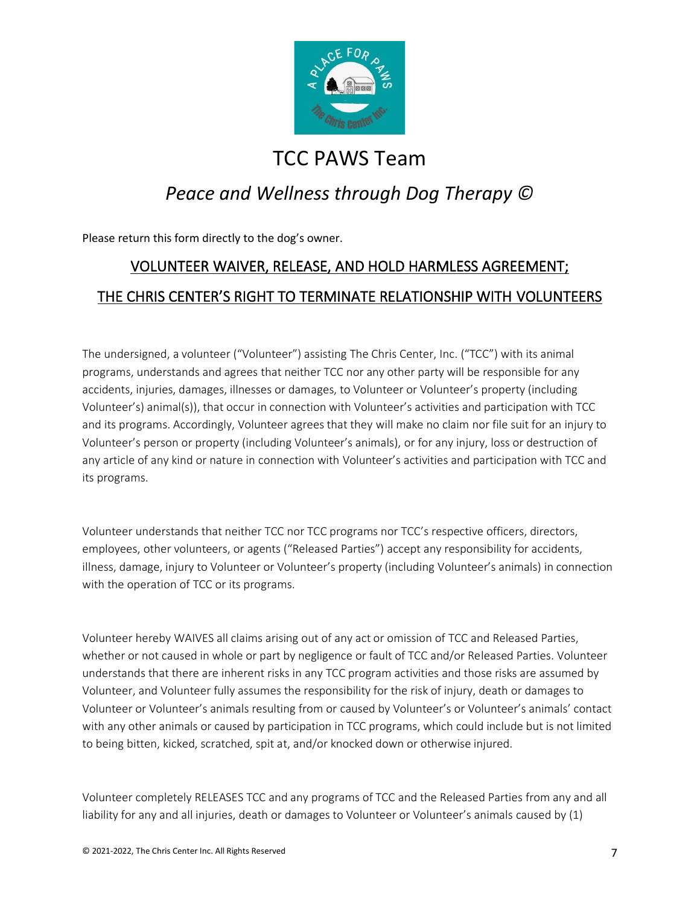

## *Peace and Wellness through Dog Therapy ©*

Please return this form directly to the dog's owner.

## VOLUNTEER WAIVER, RELEASE, AND HOLD HARMLESS AGREEMENT; THE CHRIS CENTER'S RIGHT TO TERMINATE RELATIONSHIP WITH VOLUNTEERS

The undersigned, a volunteer ("Volunteer") assisting The Chris Center, Inc. ("TCC") with its animal programs, understands and agrees that neither TCC nor any other party will be responsible for any accidents, injuries, damages, illnesses or damages, to Volunteer or Volunteer's property (including Volunteer's) animal(s)), that occur in connection with Volunteer's activities and participation with TCC and its programs. Accordingly, Volunteer agrees that they will make no claim nor file suit for an injury to Volunteer's person or property (including Volunteer's animals), or for any injury, loss or destruction of any article of any kind or nature in connection with Volunteer's activities and participation with TCC and its programs.

Volunteer understands that neither TCC nor TCC programs nor TCC's respective officers, directors, employees, other volunteers, or agents ("Released Parties") accept any responsibility for accidents, illness, damage, injury to Volunteer or Volunteer's property (including Volunteer's animals) in connection with the operation of TCC or its programs.

Volunteer hereby WAIVES all claims arising out of any act or omission of TCC and Released Parties, whether or not caused in whole or part by negligence or fault of TCC and/or Released Parties. Volunteer understands that there are inherent risks in any TCC program activities and those risks are assumed by Volunteer, and Volunteer fully assumes the responsibility for the risk of injury, death or damages to Volunteer or Volunteer's animals resulting from or caused by Volunteer's or Volunteer's animals' contact with any other animals or caused by participation in TCC programs, which could include but is not limited to being bitten, kicked, scratched, spit at, and/or knocked down or otherwise injured.

Volunteer completely RELEASES TCC and any programs of TCC and the Released Parties from any and all liability for any and all injuries, death or damages to Volunteer or Volunteer's animals caused by (1)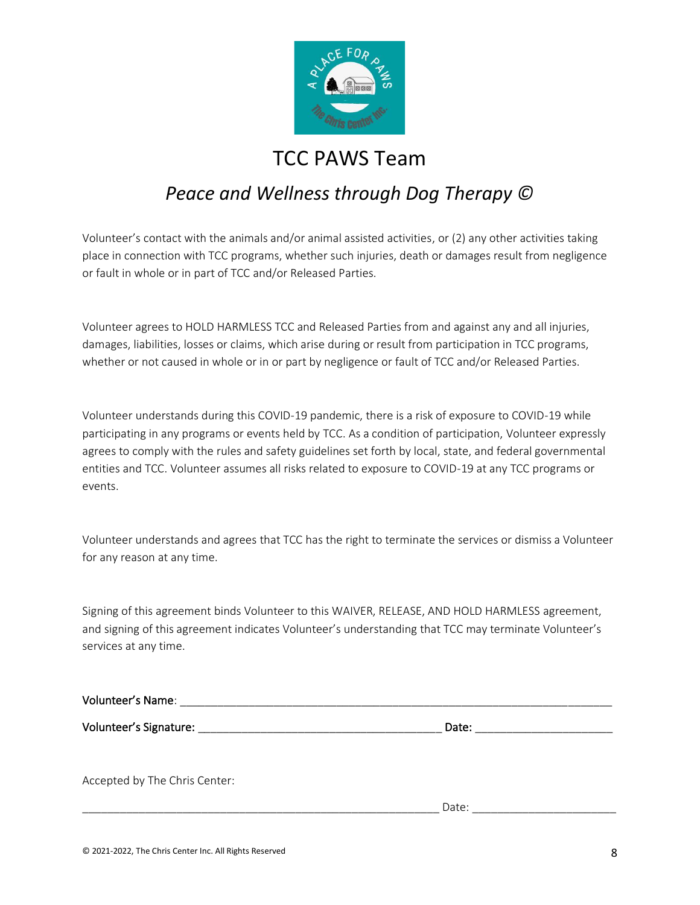

## *Peace and Wellness through Dog Therapy ©*

Volunteer's contact with the animals and/or animal assisted activities, or (2) any other activities taking place in connection with TCC programs, whether such injuries, death or damages result from negligence or fault in whole or in part of TCC and/or Released Parties.

Volunteer agrees to HOLD HARMLESS TCC and Released Parties from and against any and all injuries, damages, liabilities, losses or claims, which arise during or result from participation in TCC programs, whether or not caused in whole or in or part by negligence or fault of TCC and/or Released Parties.

Volunteer understands during this COVID-19 pandemic, there is a risk of exposure to COVID-19 while participating in any programs or events held by TCC. As a condition of participation, Volunteer expressly agrees to comply with the rules and safety guidelines set forth by local, state, and federal governmental entities and TCC. Volunteer assumes all risks related to exposure to COVID-19 at any TCC programs or events.

Volunteer understands and agrees that TCC has the right to terminate the services or dismiss a Volunteer for any reason at any time.

Signing of this agreement binds Volunteer to this WAIVER, RELEASE, AND HOLD HARMLESS agreement, and signing of this agreement indicates Volunteer's understanding that TCC may terminate Volunteer's services at any time.

| Accepted by The Chris Center: |       |  |
|-------------------------------|-------|--|
|                               | Date: |  |